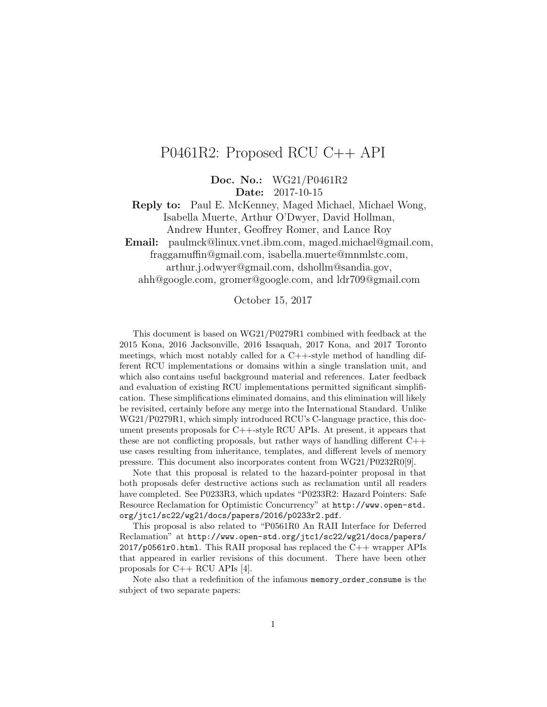# P0461R2: Proposed RCU C++ API

Doc. No.: WG21/P0461R2

Date: 2017-10-15

Reply to: Paul E. McKenney, Maged Michael, Michael Wong, Isabella Muerte, Arthur O'Dwyer, David Hollman, Andrew Hunter, Geoffrey Romer, and Lance Roy

Email: paulmck@linux.vnet.ibm.com, maged.michael@gmail.com, fraggamuffin@gmail.com, isabella.muerte@mnmlstc.com, arthur.j.odwyer@gmail.com, dshollm@sandia.gov,

ahh@google.com, gromer@google.com, and ldr709@gmail.com

October 15, 2017

This document is based on WG21/P0279R1 combined with feedback at the 2015 Kona, 2016 Jacksonville, 2016 Issaquah, 2017 Kona, and 2017 Toronto meetings, which most notably called for a  $C_{+}+$ -style method of handling different RCU implementations or domains within a single translation unit, and which also contains useful background material and references. Later feedback and evaluation of existing RCU implementations permitted significant simplification. These simplifications eliminated domains, and this elimination will likely be revisited, certainly before any merge into the International Standard. Unlike WG21/P0279R1, which simply introduced RCU's C-language practice, this document presents proposals for C++-style RCU APIs. At present, it appears that these are not conflicting proposals, but rather ways of handling different  $C++$ use cases resulting from inheritance, templates, and different levels of memory pressure. This document also incorporates content from WG21/P0232R0[\[9\]](#page-16-0).

Note that this proposal is related to the hazard-pointer proposal in that both proposals defer destructive actions such as reclamation until all readers have completed. See P0233R3, which updates "P0233R2: Hazard Pointers: Safe Resource Reclamation for Optimistic Concurrency" at [http://www.open-std.](http://www.open-std.org/jtc1/sc22/wg21/docs/papers/2016/p0233r2.pdf) [org/jtc1/sc22/wg21/docs/papers/2016/p0233r2.pdf](http://www.open-std.org/jtc1/sc22/wg21/docs/papers/2016/p0233r2.pdf).

This proposal is also related to "P0561R0 An RAII Interface for Deferred Reclamation" at [http://www.open-std.org/jtc1/sc22/wg21/docs/papers/](http://www.open-std.org/jtc1/sc22/wg21/docs/papers/2017/p0561r0.html) [2017/p0561r0.html](http://www.open-std.org/jtc1/sc22/wg21/docs/papers/2017/p0561r0.html). This RAII proposal has replaced the C++ wrapper APIs that appeared in earlier revisions of this document. There have been other proposals for C++ RCU APIs [\[4\]](#page-16-1).

Note also that a redefinition of the infamous memory order consume is the subject of two separate papers: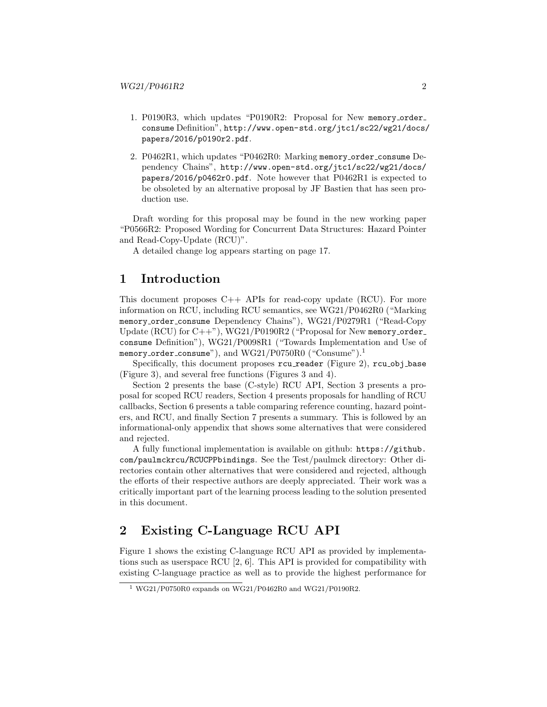- 1. P0190R3, which updates "P0190R2: Proposal for New memory order consume Definition", [http://www.open-std.org/jtc1/sc22/wg21/docs/](http://www.open-std.org/jtc1/sc22/wg21/docs/papers/2016/p0190r2.pdf) [papers/2016/p0190r2.pdf](http://www.open-std.org/jtc1/sc22/wg21/docs/papers/2016/p0190r2.pdf).
- 2. P0462R1, which updates "P0462R0: Marking memory order consume Dependency Chains", [http://www.open-std.org/jtc1/sc22/wg21/docs/](http://www.open-std.org/jtc1/sc22/wg21/docs/papers/2016/p0462r0.pdf) [papers/2016/p0462r0.pdf](http://www.open-std.org/jtc1/sc22/wg21/docs/papers/2016/p0462r0.pdf). Note however that P0462R1 is expected to be obsoleted by an alternative proposal by JF Bastien that has seen production use.

Draft wording for this proposal may be found in the new working paper "P0566R2: Proposed Wording for Concurrent Data Structures: Hazard Pointer and Read-Copy-Update (RCU)".

A detailed change log appears starting on page [17.](#page-16-2)

### 1 Introduction

This document proposes  $C++$  APIs for read-copy update (RCU). For more information on RCU, including RCU semantics, see WG21/P0462R0 ("Marking memory order consume Dependency Chains"), WG21/P0279R1 ("Read-Copy Update  $(RCU)$  for  $C++$ "),  $WG21/P0190R2$  ("Proposal for New memory order consume Definition"), WG21/P0098R1 ("Towards Implementation and Use of memory\_order\_consume"), and  $WG21/P0750R0$  $WG21/P0750R0$  $WG21/P0750R0$  ("Consume").<sup>1</sup>

Specifically, this document proposes rcu\_reader (Figure [2\)](#page-4-0), rcu\_obj\_base (Figure [3\)](#page-6-0), and several free functions (Figures [3](#page-6-0) and [4\)](#page-7-0).

Section [2](#page-1-1) presents the base (C-style) RCU API, Section [3](#page-4-1) presents a proposal for scoped RCU readers, Section [4](#page-4-2) presents proposals for handling of RCU callbacks, Section [6](#page-8-0) presents a table comparing reference counting, hazard pointers, and RCU, and finally Section [7](#page-8-1) presents a summary. This is followed by an informational-only appendix that shows some alternatives that were considered and rejected.

A fully functional implementation is available on github: [https://github.](https://github.com/paulmckrcu/RCUCPPbindings) [com/paulmckrcu/RCUCPPbindings](https://github.com/paulmckrcu/RCUCPPbindings). See the Test/paulmck directory: Other directories contain other alternatives that were considered and rejected, although the efforts of their respective authors are deeply appreciated. Their work was a critically important part of the learning process leading to the solution presented in this document.

## <span id="page-1-1"></span>2 Existing C-Language RCU API

Figure [1](#page-2-0) shows the existing C-language RCU API as provided by implementations such as userspace RCU [\[2,](#page-16-3) [6\]](#page-16-4). This API is provided for compatibility with existing C-language practice as well as to provide the highest performance for

<span id="page-1-0"></span><sup>1</sup> WG21/P0750R0 expands on WG21/P0462R0 and WG21/P0190R2.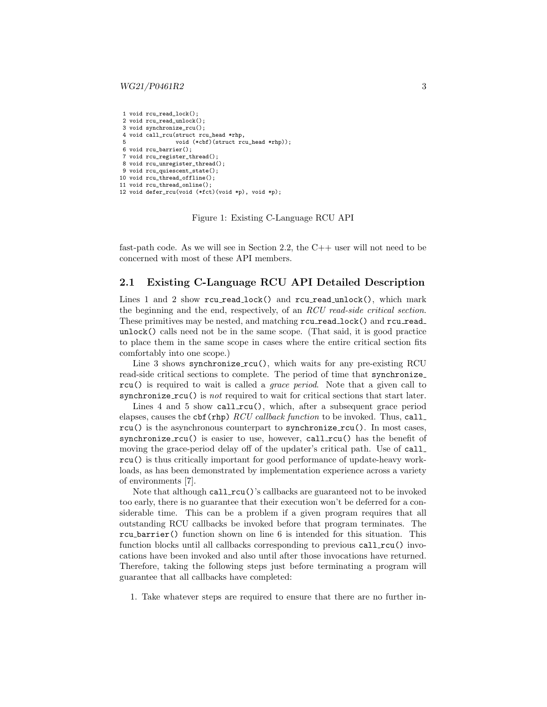```
1 void rcu read lock();
 2 void rcu_read_unlock();
3 void synchronize_rcu();
4 void call_rcu(struct rcu_head *rhp,<br>5 void (*chf)(struct rc
                  void (*cbf)(struct rcu head *rhp));
6 void rcu_barrier();
7 void rcu_register_thread();
8 void rcu_unregister_thread();
9 void rcu_quiescent_state();
10 void rcu_thread_offline();
11 void rcu_thread_online();
12 void defer_rcu(void (*fct)(void *p), void *p);
```
Figure 1: Existing C-Language RCU API

fast-path code. As we will see in Section [2.2,](#page-3-0) the C++ user will not need to be concerned with most of these API members.

### 2.1 Existing C-Language RCU API Detailed Description

Lines 1 and 2 show rcu read lock() and rcu read unlock(), which mark the beginning and the end, respectively, of an RCU read-side critical section. These primitives may be nested, and matching rcu read lock() and rcu read unlock() calls need not be in the same scope. (That said, it is good practice to place them in the same scope in cases where the entire critical section fits comfortably into one scope.)

Line 3 shows synchronize\_rcu(), which waits for any pre-existing RCU read-side critical sections to complete. The period of time that synchronize rcu() is required to wait is called a grace period. Note that a given call to synchronize  $rcu()$  is *not* required to wait for critical sections that start later.

Lines 4 and 5 show call\_rcu(), which, after a subsequent grace period elapses, causes the cbf (rhp)  $RCU$  callback function to be invoked. Thus, call\_ rcu() is the asynchronous counterpart to synchronize\_rcu(). In most cases, synchronize  $rcu()$  is easier to use, however, call  $rcu()$  has the benefit of moving the grace-period delay off of the updater's critical path. Use of call rcu() is thus critically important for good performance of update-heavy workloads, as has been demonstrated by implementation experience across a variety of environments [\[7\]](#page-16-5).

Note that although call  $rcu()$ 's callbacks are guaranteed not to be invoked too early, there is no guarantee that their execution won't be deferred for a considerable time. This can be a problem if a given program requires that all outstanding RCU callbacks be invoked before that program terminates. The rcu barrier() function shown on line 6 is intended for this situation. This function blocks until all callbacks corresponding to previous call  $rcu()$  invocations have been invoked and also until after those invocations have returned. Therefore, taking the following steps just before terminating a program will guarantee that all callbacks have completed:

1. Take whatever steps are required to ensure that there are no further in-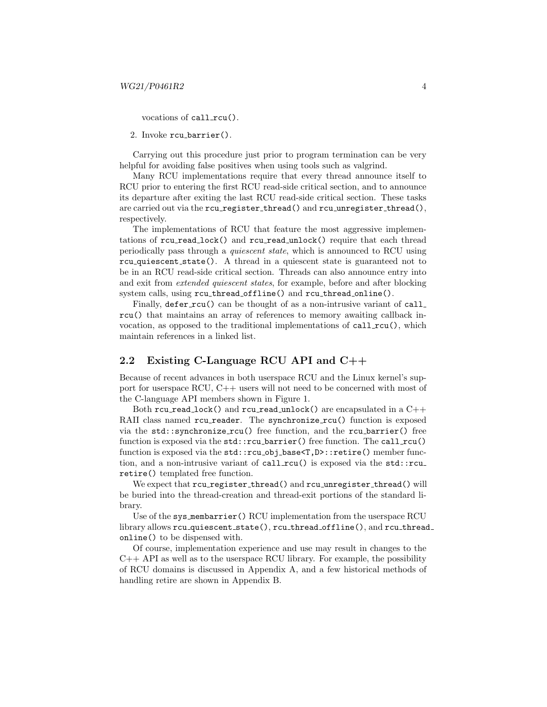vocations of call\_rcu().

2. Invoke rcu barrier().

Carrying out this procedure just prior to program termination can be very helpful for avoiding false positives when using tools such as valgrind.

Many RCU implementations require that every thread announce itself to RCU prior to entering the first RCU read-side critical section, and to announce its departure after exiting the last RCU read-side critical section. These tasks are carried out via the  $rcu\_register\_thread()$  and  $rcu\_unregister\_thread()$ , respectively.

The implementations of RCU that feature the most aggressive implementations of rcu read lock() and rcu read unlock() require that each thread periodically pass through a quiescent state, which is announced to RCU using rcu quiescent state(). A thread in a quiescent state is guaranteed not to be in an RCU read-side critical section. Threads can also announce entry into and exit from extended quiescent states, for example, before and after blocking system calls, using rcu thread offline() and rcu thread online().

Finally, defer rcu() can be thought of as a non-intrusive variant of call rcu() that maintains an array of references to memory awaiting callback invocation, as opposed to the traditional implementations of  $call_rcu()$ , which maintain references in a linked list.

### <span id="page-3-0"></span>2.2 Existing C-Language RCU API and C++

Because of recent advances in both userspace RCU and the Linux kernel's support for userspace RCU, C++ users will not need to be concerned with most of the C-language API members shown in Figure [1.](#page-2-0)

Both rcu read lock() and rcu read unlock() are encapsulated in a  $C++$ RAII class named rcu\_reader. The synchronize\_rcu() function is exposed via the  $std::synchronic\_rcu()$  free function, and the rcu barrier() free function is exposed via the std::rcu\_barrier() free function. The call\_rcu() function is exposed via the std::rcu\_obj\_base<T,D>::retire() member function, and a non-intrusive variant of  $call_rcu()$  is exposed via the  $std::rcu$ . retire() templated free function.

We expect that rcu\_register\_thread() and rcu\_unregister\_thread() will be buried into the thread-creation and thread-exit portions of the standard library.

Use of the sys\_membarrier() RCU implementation from the userspace RCU library allows rcu quiescent state(), rcu thread offline(), and rcu thread online() to be dispensed with.

Of course, implementation experience and use may result in changes to the C++ API as well as to the userspace RCU library. For example, the possibility of RCU domains is discussed in Appendix [A,](#page-11-0) and a few historical methods of handling retire are shown in Appendix [B.](#page-13-0)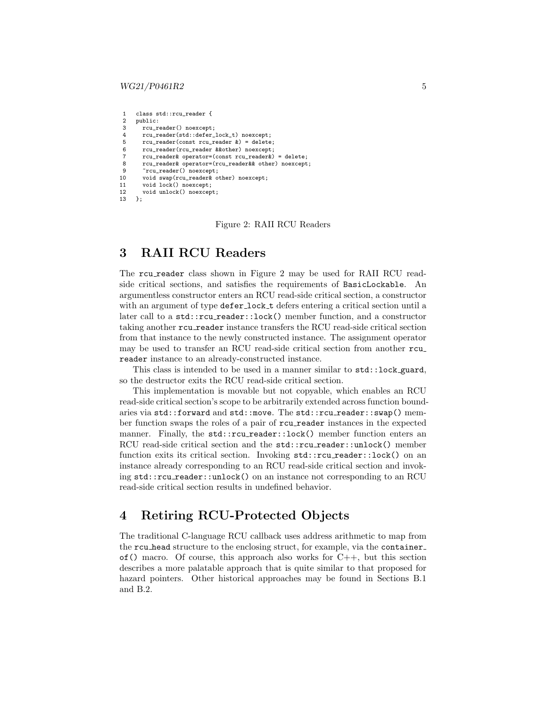#### $WG21/P0461R2$  5

```
1 class std::rcu_reader {<br>2 public:
2 public:<br>3   rcu rrcu reader() noexcept;
4 rcu_reader(std::defer_lock_t) noexcept;<br>5 rcu_reader(const_rcu_reader k) = delete
       rcu_reader(const_rcu_reader k) = delete;
6 rcu_reader(rcu_reader &&other) noexcept;
7 rcu_reader& operator=(const rcu_reader&) = delete;
8 rcu_reader& operator=(rcu_reader&& other) noexcept;
9 ~ ~ rcu_reader() noexcept:
10 void swap(rcu_reader& other) noexcept;
11 void lock() noexcept;
12 void unlock() noexcept;<br>13 }:
     \lambda:
```
Figure 2: RAII RCU Readers

### <span id="page-4-1"></span>3 RAII RCU Readers

The rcu reader class shown in Figure [2](#page-4-0) may be used for RAII RCU readside critical sections, and satisfies the requirements of BasicLockable. An argumentless constructor enters an RCU read-side critical section, a constructor with an argument of type defer lock t defers entering a critical section until a later call to a std::rcu\_reader::lock() member function, and a constructor taking another rcu reader instance transfers the RCU read-side critical section from that instance to the newly constructed instance. The assignment operator may be used to transfer an RCU read-side critical section from another rcu reader instance to an already-constructed instance.

This class is intended to be used in a manner similar to std::lock guard, so the destructor exits the RCU read-side critical section.

This implementation is movable but not copyable, which enables an RCU read-side critical section's scope to be arbitrarily extended across function boundaries via std::forward and std::move. The std::rcu\_reader::swap() member function swaps the roles of a pair of rcu reader instances in the expected manner. Finally, the std::rcu\_reader::lock() member function enters an RCU read-side critical section and the std::rcu\_reader::unlock() member function exits its critical section. Invoking  $std::rcu\_reader::lock()$  on an instance already corresponding to an RCU read-side critical section and invoking std::rcu reader::unlock() on an instance not corresponding to an RCU read-side critical section results in undefined behavior.

# <span id="page-4-2"></span>4 Retiring RCU-Protected Objects

The traditional C-language RCU callback uses address arithmetic to map from the rcu head structure to the enclosing struct, for example, via the container of () macro. Of course, this approach also works for  $C_{++}$ , but this section describes a more palatable approach that is quite similar to that proposed for hazard pointers. Other historical approaches may be found in Sections [B.1](#page-13-1) and [B.2.](#page-15-0)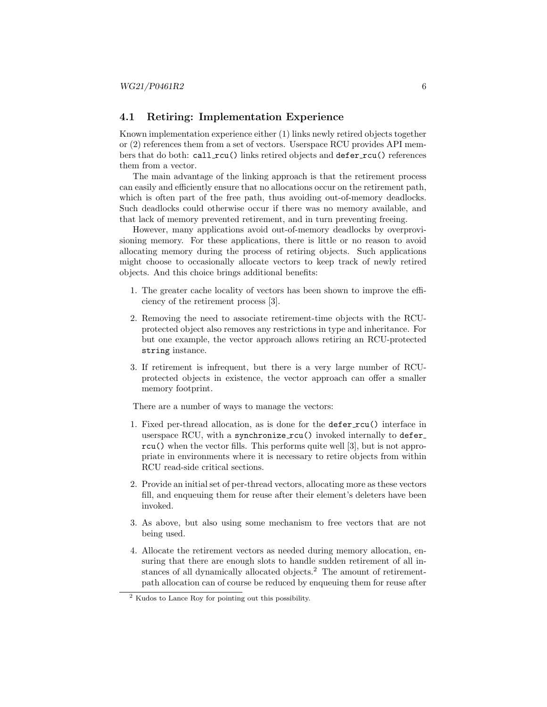### 4.1 Retiring: Implementation Experience

Known implementation experience either (1) links newly retired objects together or (2) references them from a set of vectors. Userspace RCU provides API members that do both: call  $rcu()$  links retired objects and defer  $rcu()$  references them from a vector.

The main advantage of the linking approach is that the retirement process can easily and efficiently ensure that no allocations occur on the retirement path, which is often part of the free path, thus avoiding out-of-memory deadlocks. Such deadlocks could otherwise occur if there was no memory available, and that lack of memory prevented retirement, and in turn preventing freeing.

However, many applications avoid out-of-memory deadlocks by overprovisioning memory. For these applications, there is little or no reason to avoid allocating memory during the process of retiring objects. Such applications might choose to occasionally allocate vectors to keep track of newly retired objects. And this choice brings additional benefits:

- 1. The greater cache locality of vectors has been shown to improve the efficiency of the retirement process [\[3\]](#page-16-6).
- 2. Removing the need to associate retirement-time objects with the RCUprotected object also removes any restrictions in type and inheritance. For but one example, the vector approach allows retiring an RCU-protected string instance.
- 3. If retirement is infrequent, but there is a very large number of RCUprotected objects in existence, the vector approach can offer a smaller memory footprint.

There are a number of ways to manage the vectors:

- 1. Fixed per-thread allocation, as is done for the defer rcu() interface in userspace RCU, with a synchronize rcu() invoked internally to defer rcu() when the vector fills. This performs quite well [\[3\]](#page-16-6), but is not appropriate in environments where it is necessary to retire objects from within RCU read-side critical sections.
- 2. Provide an initial set of per-thread vectors, allocating more as these vectors fill, and enqueuing them for reuse after their element's deleters have been invoked.
- 3. As above, but also using some mechanism to free vectors that are not being used.
- 4. Allocate the retirement vectors as needed during memory allocation, ensuring that there are enough slots to handle sudden retirement of all in-stances of all dynamically allocated objects.<sup>[2](#page-5-0)</sup> The amount of retirementpath allocation can of course be reduced by enqueuing them for reuse after

<span id="page-5-0"></span><sup>2</sup> Kudos to Lance Roy for pointing out this possibility.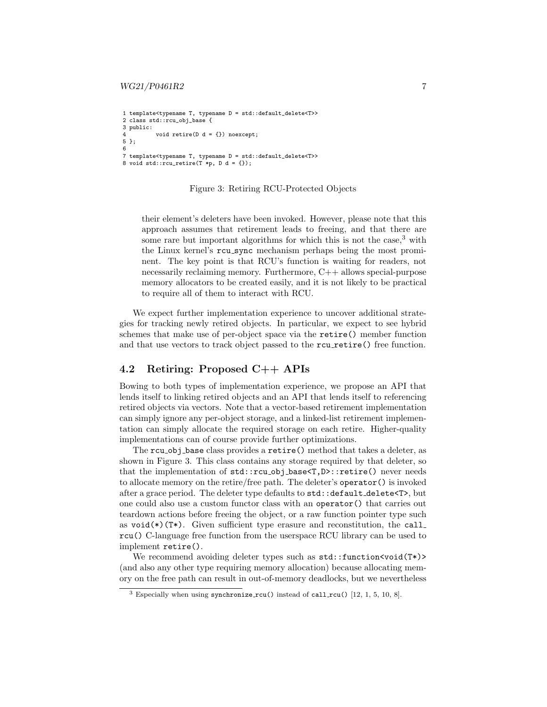```
1 template<typename T, typename D = std::default_delete<T>>
2 class std::rcu_obj_base {
3 public:
          void retire(D d = \{\}) noexcept;
5 };
6
7 template<typename T, typename D = std::default_delete<T>>
8 void std::rcu_retire(T *p, D d = {});
```
#### Figure 3: Retiring RCU-Protected Objects

their element's deleters have been invoked. However, please note that this approach assumes that retirement leads to freeing, and that there are some rare but important algorithms for which this is not the case,  $3$  with the Linux kernel's rcu sync mechanism perhaps being the most prominent. The key point is that RCU's function is waiting for readers, not necessarily reclaiming memory. Furthermore, C++ allows special-purpose memory allocators to be created easily, and it is not likely to be practical to require all of them to interact with RCU.

We expect further implementation experience to uncover additional strategies for tracking newly retired objects. In particular, we expect to see hybrid schemes that make use of per-object space via the retire() member function and that use vectors to track object passed to the rcu\_retire() free function.

### 4.2 Retiring: Proposed C++ APIs

Bowing to both types of implementation experience, we propose an API that lends itself to linking retired objects and an API that lends itself to referencing retired objects via vectors. Note that a vector-based retirement implementation can simply ignore any per-object storage, and a linked-list retirement implementation can simply allocate the required storage on each retire. Higher-quality implementations can of course provide further optimizations.

The rcu obj base class provides a retire() method that takes a deleter, as shown in Figure [3.](#page-6-0) This class contains any storage required by that deleter, so that the implementation of std::rcu\_obj\_base<T,D>::retire() never needs to allocate memory on the retire/free path. The deleter's operator() is invoked after a grace period. The deleter type defaults to std::default\_delete<T>, but one could also use a custom functor class with an operator() that carries out teardown actions before freeing the object, or a raw function pointer type such as  $\text{void}(\ast)(T\ast)$ . Given sufficient type erasure and reconstitution, the call rcu() C-language free function from the userspace RCU library can be used to implement retire().

We recommend avoiding deleter types such as  $\text{std}$ ::function<void(T\*)> (and also any other type requiring memory allocation) because allocating memory on the free path can result in out-of-memory deadlocks, but we nevertheless

<span id="page-6-1"></span><sup>&</sup>lt;sup>3</sup> Especially when using synchronize rcu() instead of call rcu()  $[12, 1, 5, 10, 8]$  $[12, 1, 5, 10, 8]$  $[12, 1, 5, 10, 8]$  $[12, 1, 5, 10, 8]$  $[12, 1, 5, 10, 8]$ .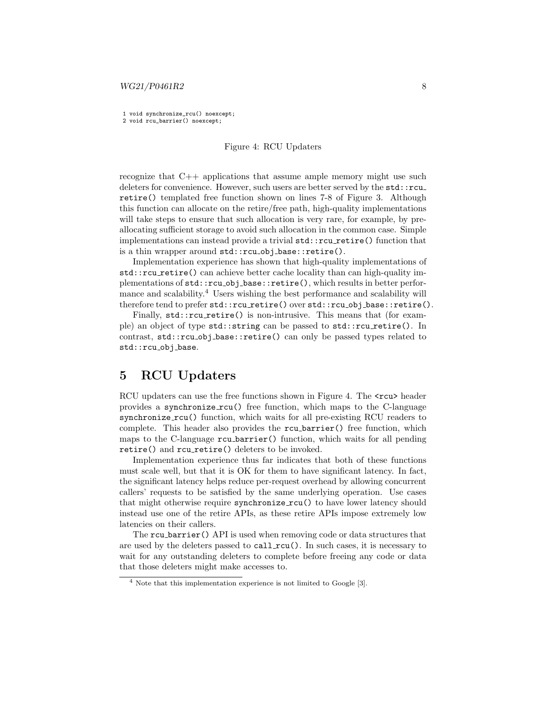#### $WG21/P0461R2$  8

<span id="page-7-0"></span>1 void synchronize\_rcu() noexcept;

2 void rcu\_barrier() noexcept;

#### Figure 4: RCU Updaters

recognize that  $C++$  applications that assume ample memory might use such deleters for convenience. However, such users are better served by the std::rcu\_ retire() templated free function shown on lines 7-8 of Figure [3.](#page-6-0) Although this function can allocate on the retire/free path, high-quality implementations will take steps to ensure that such allocation is very rare, for example, by preallocating sufficient storage to avoid such allocation in the common case. Simple implementations can instead provide a trivial  $std::rcu\_retire()$  function that is a thin wrapper around std::rcu\_obj\_base::retire().

Implementation experience has shown that high-quality implementations of std::rcu retire() can achieve better cache locality than can high-quality implementations of std::rcu obj base::retire(), which results in better perfor-mance and scalability.<sup>[4](#page-7-1)</sup> Users wishing the best performance and scalability will therefore tend to prefer std::rcu\_retire() over std::rcu\_obj\_base::retire().

Finally, std::rcu\_retire() is non-intrusive. This means that (for example) an object of type std::string can be passed to std::rcu\_retire(). In contrast,  $std::rcu_obj\_base::retire()$  can only be passed types related to std::rcu\_obj\_base.

### 5 RCU Updaters

RCU updaters can use the free functions shown in Figure [4.](#page-7-0) The <rcu> header provides a synchronize rcu() free function, which maps to the C-language synchronize\_rcu() function, which waits for all pre-existing RCU readers to complete. This header also provides the rcu barrier() free function, which maps to the C-language rcu barrier() function, which waits for all pending retire() and rcu\_retire() deleters to be invoked.

Implementation experience thus far indicates that both of these functions must scale well, but that it is OK for them to have significant latency. In fact, the significant latency helps reduce per-request overhead by allowing concurrent callers' requests to be satisfied by the same underlying operation. Use cases that might otherwise require synchronize rcu() to have lower latency should instead use one of the retire APIs, as these retire APIs impose extremely low latencies on their callers.

The rcu barrier() API is used when removing code or data structures that are used by the deleters passed to call\_rcu(). In such cases, it is necessary to wait for any outstanding deleters to complete before freeing any code or data that those deleters might make accesses to.

<span id="page-7-1"></span><sup>4</sup> Note that this implementation experience is not limited to Google [\[3\]](#page-16-6).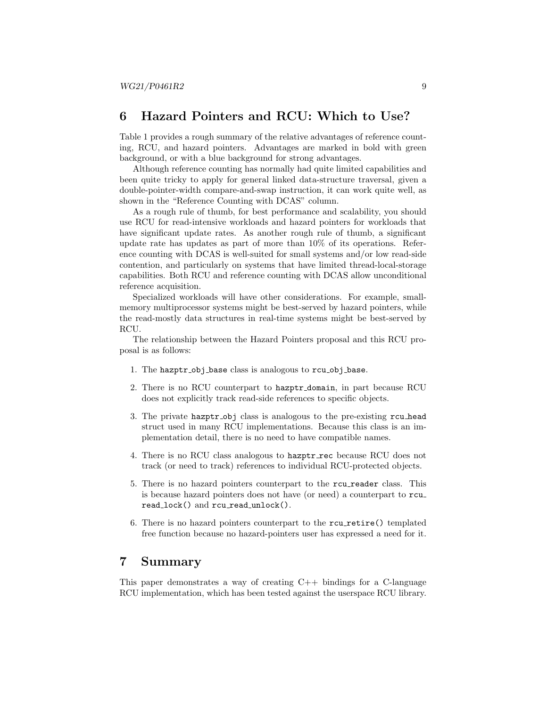### <span id="page-8-0"></span>6 Hazard Pointers and RCU: Which to Use?

Table [1](#page-9-0) provides a rough summary of the relative advantages of reference counting, RCU, and hazard pointers. Advantages are marked in bold with green background, or with a blue background for strong advantages.

Although reference counting has normally had quite limited capabilities and been quite tricky to apply for general linked data-structure traversal, given a double-pointer-width compare-and-swap instruction, it can work quite well, as shown in the "Reference Counting with DCAS" column.

As a rough rule of thumb, for best performance and scalability, you should use RCU for read-intensive workloads and hazard pointers for workloads that have significant update rates. As another rough rule of thumb, a significant update rate has updates as part of more than 10% of its operations. Reference counting with DCAS is well-suited for small systems and/or low read-side contention, and particularly on systems that have limited thread-local-storage capabilities. Both RCU and reference counting with DCAS allow unconditional reference acquisition.

Specialized workloads will have other considerations. For example, smallmemory multiprocessor systems might be best-served by hazard pointers, while the read-mostly data structures in real-time systems might be best-served by RCU.

The relationship between the Hazard Pointers proposal and this RCU proposal is as follows:

- 1. The hazptr obj base class is analogous to rcu obj base.
- 2. There is no RCU counterpart to hazptr domain, in part because RCU does not explicitly track read-side references to specific objects.
- 3. The private hazptr obj class is analogous to the pre-existing rcu head struct used in many RCU implementations. Because this class is an implementation detail, there is no need to have compatible names.
- 4. There is no RCU class analogous to hazptr rec because RCU does not track (or need to track) references to individual RCU-protected objects.
- 5. There is no hazard pointers counterpart to the rcu reader class. This is because hazard pointers does not have (or need) a counterpart to rcu read\_lock() and rcu\_read\_unlock().
- 6. There is no hazard pointers counterpart to the rcu retire() templated free function because no hazard-pointers user has expressed a need for it.

### <span id="page-8-1"></span>7 Summary

This paper demonstrates a way of creating  $C_{++}$  bindings for a C-language RCU implementation, which has been tested against the userspace RCU library.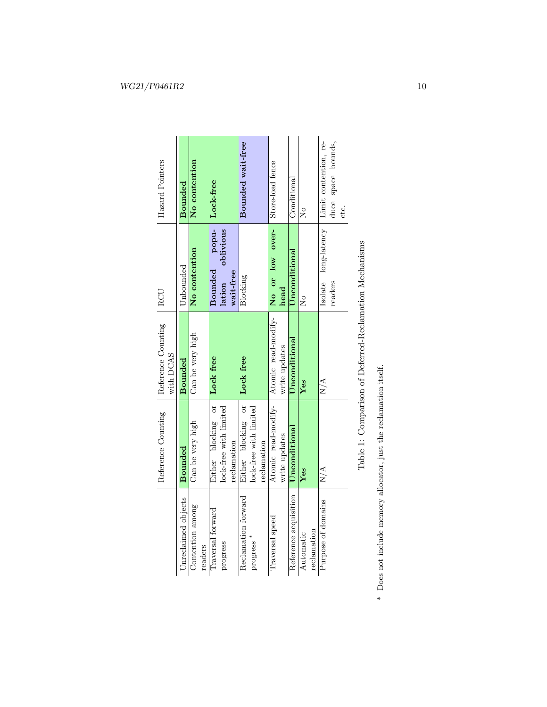|                             | Reference Counting     | Reference Counting<br>with DCAS                        | RCU                              | Hazard Pointers       |
|-----------------------------|------------------------|--------------------------------------------------------|----------------------------------|-----------------------|
| Unreclaimed objects         | <b>Bounded</b>         | Bounded                                                | Unbounded                        | Bounded               |
| Contention among<br>readers | Can be very high       | Can be very high                                       | No contention                    | No contention         |
| Traversal forward           | Either blocking or     | Lock free                                              | popu-<br>Bounded                 | Lock-free             |
| progress                    | lock-free with limited |                                                        | oblivious<br>lation              |                       |
|                             | reclamation            |                                                        | wait-free                        |                       |
| Reclamation forward         | Either blocking or     | Lock free                                              | Blocking                         | Bounded wait-free     |
| progress                    | lock-free with limited |                                                        |                                  |                       |
|                             | reclamation            |                                                        |                                  |                       |
| Traversal speed             | Atomic read-modify-    | Atomic read-modify-                                    | No or low over-                  | Store-load fence      |
|                             | write updates          | write updates                                          | head                             |                       |
| Reference acquisition       | Unconditional          | Unconditional                                          | Unconditional                    | Conditional           |
| Automatic                   | Yes                    | Yes                                                    | ž                                | ž                     |
| reclamation                 |                        |                                                        |                                  |                       |
| Purpose of domains          | N/A                    | N/A                                                    | $long\text{-}latency$<br>Isolate | Limit contention, re- |
|                             |                        |                                                        | readers                          | duce space bounds,    |
|                             |                        |                                                        |                                  | etc.                  |
|                             |                        |                                                        |                                  |                       |
|                             |                        | Table 1: Comparison of Deferred-Reclamation Mechanisms |                                  |                       |

| ı<br>Ï<br>j<br>ļ<br>I<br>í<br>ı<br>ı                |
|-----------------------------------------------------|
| ı<br>l<br>ı<br>¢<br>١<br>ı<br>$\overline{1}$        |
| I<br>I<br>١<br>Í                                    |
| ı                                                   |
| I<br>I<br>ı<br>j<br>ì<br>l<br>I                     |
| l<br>¢<br>١                                         |
| ı<br>Co. Co. Co.<br>ı<br>١<br>ı<br>ı<br>ı<br>ı<br>١ |
| Č<br>J                                              |
| ۱<br>١<br>I                                         |
| ı                                                   |
|                                                     |
|                                                     |

 $^\ast\,$  Does not include memory allocator, just the reclamation itself. \* Does not include memory allocator, just the reclamation itself.

# <span id="page-9-0"></span> $\label{eq:WG21} WG21/P0461R2 \qquad \qquad 10$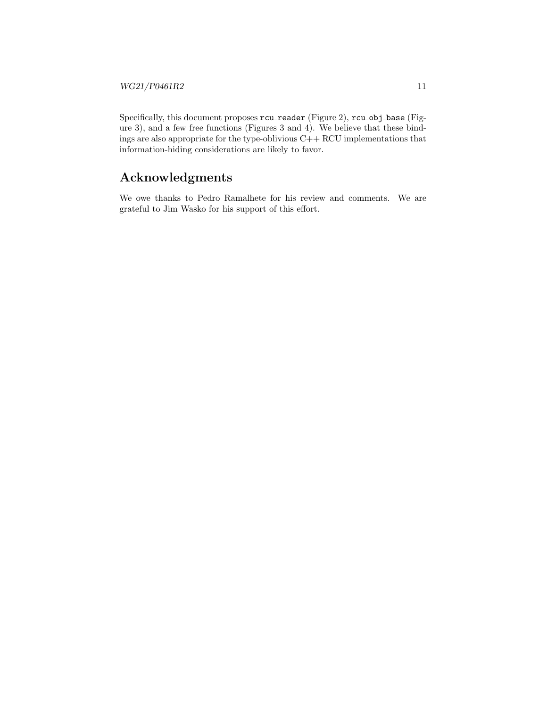Specifically, this document proposes  $rcu$ -reader (Figure [2\)](#page-4-0),  $rcu$ -obj-base (Figure [3\)](#page-6-0), and a few free functions (Figures [3](#page-6-0) and [4\)](#page-7-0). We believe that these bindings are also appropriate for the type-oblivious C++ RCU implementations that information-hiding considerations are likely to favor.

# Acknowledgments

We owe thanks to Pedro Ramalhete for his review and comments. We are grateful to Jim Wasko for his support of this effort.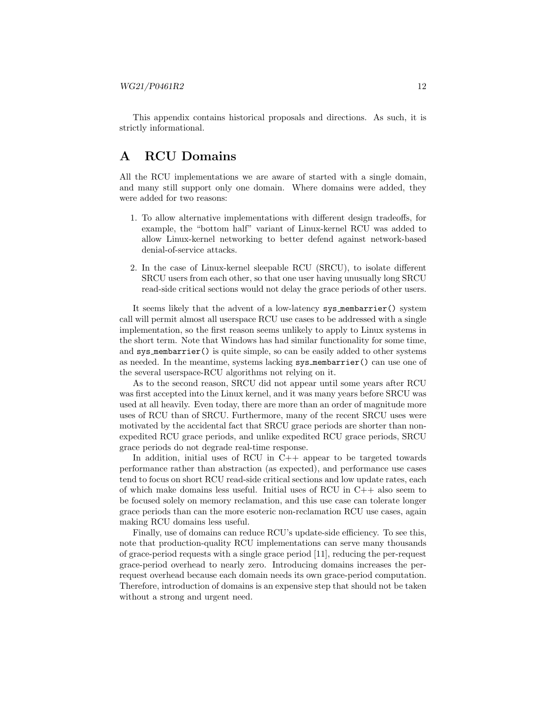This appendix contains historical proposals and directions. As such, it is strictly informational.

## <span id="page-11-0"></span>A RCU Domains

All the RCU implementations we are aware of started with a single domain, and many still support only one domain. Where domains were added, they were added for two reasons:

- 1. To allow alternative implementations with different design tradeoffs, for example, the "bottom half" variant of Linux-kernel RCU was added to allow Linux-kernel networking to better defend against network-based denial-of-service attacks.
- 2. In the case of Linux-kernel sleepable RCU (SRCU), to isolate different SRCU users from each other, so that one user having unusually long SRCU read-side critical sections would not delay the grace periods of other users.

It seems likely that the advent of a low-latency sys membarrier() system call will permit almost all userspace RCU use cases to be addressed with a single implementation, so the first reason seems unlikely to apply to Linux systems in the short term. Note that Windows has had similar functionality for some time, and sys membarrier() is quite simple, so can be easily added to other systems as needed. In the meantime, systems lacking sys membarrier() can use one of the several userspace-RCU algorithms not relying on it.

As to the second reason, SRCU did not appear until some years after RCU was first accepted into the Linux kernel, and it was many years before SRCU was used at all heavily. Even today, there are more than an order of magnitude more uses of RCU than of SRCU. Furthermore, many of the recent SRCU uses were motivated by the accidental fact that SRCU grace periods are shorter than nonexpedited RCU grace periods, and unlike expedited RCU grace periods, SRCU grace periods do not degrade real-time response.

In addition, initial uses of RCU in  $C++$  appear to be targeted towards performance rather than abstraction (as expected), and performance use cases tend to focus on short RCU read-side critical sections and low update rates, each of which make domains less useful. Initial uses of RCU in  $C_{++}$  also seem to be focused solely on memory reclamation, and this use case can tolerate longer grace periods than can the more esoteric non-reclamation RCU use cases, again making RCU domains less useful.

Finally, use of domains can reduce RCU's update-side efficiency. To see this, note that production-quality RCU implementations can serve many thousands of grace-period requests with a single grace period [\[11\]](#page-16-11), reducing the per-request grace-period overhead to nearly zero. Introducing domains increases the perrequest overhead because each domain needs its own grace-period computation. Therefore, introduction of domains is an expensive step that should not be taken without a strong and urgent need.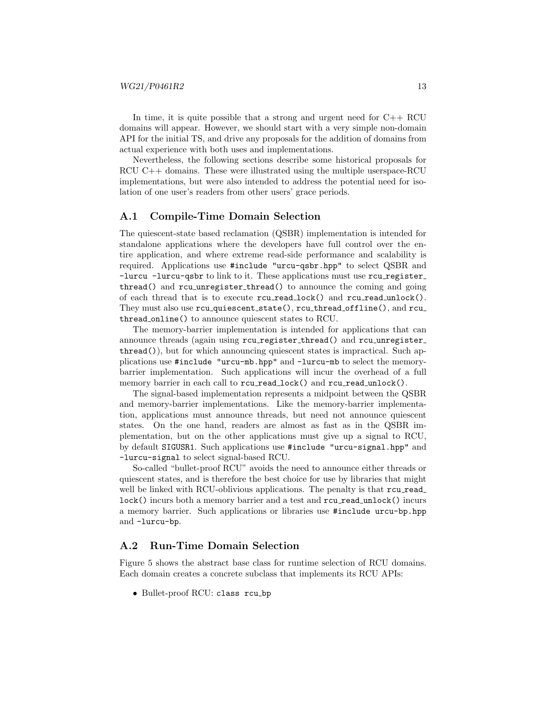In time, it is quite possible that a strong and urgent need for  $C++$  RCU domains will appear. However, we should start with a very simple non-domain API for the initial TS, and drive any proposals for the addition of domains from actual experience with both uses and implementations.

Nevertheless, the following sections describe some historical proposals for RCU C++ domains. These were illustrated using the multiple userspace-RCU implementations, but were also intended to address the potential need for isolation of one user's readers from other users' grace periods.

### A.1 Compile-Time Domain Selection

The quiescent-state based reclamation (QSBR) implementation is intended for standalone applications where the developers have full control over the entire application, and where extreme read-side performance and scalability is required. Applications use #include "urcu-qsbr.hpp" to select QSBR and -lurcu -lurcu-qsbr to link to it. These applications must use rcu register thread() and rcu unregister thread() to announce the coming and going of each thread that is to execute rcu read lock() and rcu read unlock(). They must also use rcu\_quiescent\_state(), rcu\_thread\_offline(), and rcu\_ thread online() to announce quiescent states to RCU.

The memory-barrier implementation is intended for applications that can announce threads (again using rcu register thread() and rcu unregister thread()), but for which announcing quiescent states is impractical. Such applications use #include "urcu-mb.hpp" and -lurcu-mb to select the memorybarrier implementation. Such applications will incur the overhead of a full memory barrier in each call to rcu\_read\_lock() and rcu\_read\_unlock().

The signal-based implementation represents a midpoint between the QSBR and memory-barrier implementations. Like the memory-barrier implementation, applications must announce threads, but need not announce quiescent states. On the one hand, readers are almost as fast as in the QSBR implementation, but on the other applications must give up a signal to RCU, by default SIGUSR1. Such applications use #include "urcu-signal.hpp" and -lurcu-signal to select signal-based RCU.

So-called "bullet-proof RCU" avoids the need to announce either threads or quiescent states, and is therefore the best choice for use by libraries that might well be linked with RCU-oblivious applications. The penalty is that  $rcu$ -read lock() incurs both a memory barrier and a test and rcu\_read\_unlock() incurs a memory barrier. Such applications or libraries use #include urcu-bp.hpp and -lurcu-bp.

#### A.2 Run-Time Domain Selection

Figure [5](#page-13-2) shows the abstract base class for runtime selection of RCU domains. Each domain creates a concrete subclass that implements its RCU APIs:

• Bullet-proof RCU: class rcu bp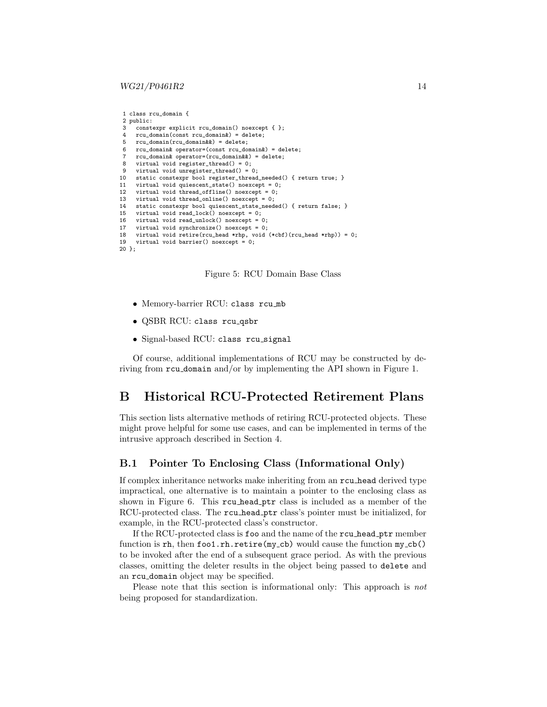#### $WG21/P0461R2$  14

```
1 class rcu_domain {
2 public: 3constexpr explicit rcu domain() noexcept \{\ \}:
4 rcu_domain(const rcu_domain&) = delete;
5 \text{ rcu\_domain}(\text{rcu\_domain} \& \text{)} = \text{delete};6 rcu_domain& operator=(const rcu_domain&) = delete;
7 rcu_domain& operator=(rcu_domain&&) = delete;
8 virtual void register_thread() = 0;
9 virtual void unregister_thread() = 0;
10 static constexpr bool register_thread_needed() { return true; }
11 virtual void quiescent_state() noexcept = 0;
12 virtual void thread_offline() noexcept = 0;<br>13 virtual void thread online() noexcept = 0;
     virtual void thread online() noexcept = 0:
14 static constexpr bool quiescent_state_needed() { return false; }
15 virtual void read_lock() noexcept = 0;<br>16 virtual void read unlock() noexcept =
     virtual void read_unlock() noexcept = 0;
17 virtual void synchronize() noexcept = 0;<br>18 virtual void retire(rcu_head *rhp, void
     virtual void retire(rcu_head *rhp, void (*cbf)(rcu_head *rhp)) = 0;
19 virtual void barrier() noexcept = 0;
20 };
```


- Memory-barrier RCU: class rcu mb
- QSBR RCU: class rcu qsbr
- Signal-based RCU: class rcu signal

Of course, additional implementations of RCU may be constructed by deriving from rcu domain and/or by implementing the API shown in Figure [1.](#page-2-0)

### <span id="page-13-0"></span>B Historical RCU-Protected Retirement Plans

This section lists alternative methods of retiring RCU-protected objects. These might prove helpful for some use cases, and can be implemented in terms of the intrusive approach described in Section [4.](#page-4-2)

#### <span id="page-13-1"></span>B.1 Pointer To Enclosing Class (Informational Only)

If complex inheritance networks make inheriting from an rcu head derived type impractical, one alternative is to maintain a pointer to the enclosing class as shown in Figure [6.](#page-14-0) This rcu head ptr class is included as a member of the RCU-protected class. The rcu head ptr class's pointer must be initialized, for example, in the RCU-protected class's constructor.

If the RCU-protected class is foo and the name of the rcu head ptr member function is rh, then  $f \circ \circ 1$ .rh.retire(my\_cb) would cause the function  $my\_cb()$ to be invoked after the end of a subsequent grace period. As with the previous classes, omitting the deleter results in the object being passed to delete and an rcu domain object may be specified.

Please note that this section is informational only: This approach is not being proposed for standardization.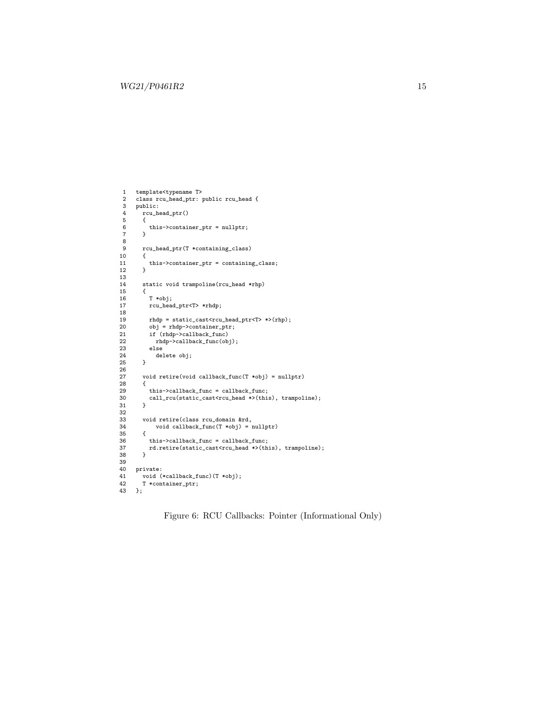```
1 template<typename T>
2 class rcu_head_ptr: public rcu_head {
 3 public:<br>4 rcu he
          4 rcu_head_ptr()
 5 {
 6 this->container_ptr = nullptr;<br>
7 \t}7 }
8<br>9
          9 rcu_head_ptr(T *containing_class)
\begin{matrix} 10 & & \texttt{\{} \\ 11 & & \end{matrix}this->container_ptr = containing_class;<br>}
12\,13
          static void trampoline(rcu_head *rhp)
\begin{matrix} 15 & \quad \{ \\ 16 & \quad \end{matrix}16 T *obj;<br>17 rcu_head
             17 rcu_head_ptr<T> *rhdp;
18
19 rhdp = static_cast<rcu_head_ptr<T> *>(rhp);<br>20 obj = rhdp->container_ptr;
20 obj = rhdp-> container\_ptr;<br>21 if (rhdp->callback_func)
21 if (rhdp->callback_func)<br>22 rhdp->callback_func(ob
22 rhdp->callback_func(obj);
23 else
          delete obj;<br>}
25 }
26
          void retire(void callback_func(T *obj) = nullptr) {
28 {
29 \qquad \qquad this \mbox{-} \label{eq:2} \begin{array}{ll} \mbox{this}\mbox{-} \mbox{callback\_func = callback\_func;} \\ \mbox{call\_rcu}(\mbox{static\_cast} \mbox{-} \mbox{rcu\_head } \mbox{*} \mbox{)} (\mbox{thi} \end{array}call_rcu(static_cast<rcu_head *>(this), trampoline);
3132
33 void retire(class rcu_domain &rd,<br>34 void callback_func(T *obj) = 1
          {\tt void \,\, calback\_func(T *obj) = nullptr)}35<br>36
36 this->callback_func = callback_func;<br>37 rd.retire(static_cast<rcu_head *>(th
37 rd.retire(static_cast<rcu_head *>(this), trampoline);<br>38 }
         38 }
39
40 private:<br>41 void (
41 void (*callback_func)(T *obj);<br>42 T *container_ptr;
42 T *container_ptr;<br>43 };
      43 };
```
Figure 6: RCU Callbacks: Pointer (Informational Only)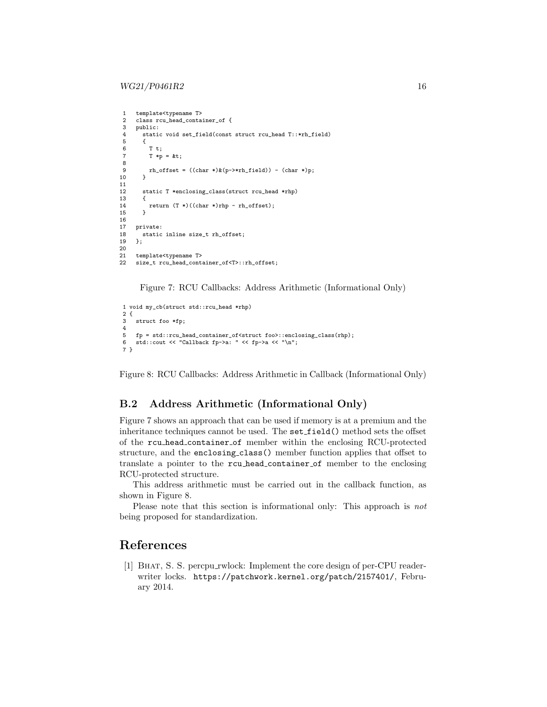```
1 template<typename T><br>2 class rcu_head_conta
 2 class rcu_head_container_of {<br>3 public:
 3 public:
 4 static void set_field(const struct rcu_head T::*rh_field)<br>5 {
 5 {
 6 T t;<br>
T \uparrow T \uparrow TT * p = \&t;8
         rh\_offset = ((char *)*(p->*rh\_field)) - (char *)p;10 }
\begin{array}{c} 11 \\ 12 \end{array}static T *enclosing_class(struct rcu_head *rhp)
\begin{array}{cc} 13 & \text{f} \\ 14 & \end{array}return (T *)((char *)rhp - rh_ofiset);15 }
16
      private:
18 static inline size_t rh_offset;<br>19 }:
      \mathcal{E}:
20
21 template<typename T><br>22 size t rcu head conta
      size_t rcu_head_container_of<T>::rh_offset;
```
Figure 7: RCU Callbacks: Address Arithmetic (Informational Only)

```
1 void my_cb(struct std::rcu_head *rhp)
2 {
3 struct foo *fp;
4
5 fp = std::rcu_head_container_of<struct foo>::enclosing_class(rhp);
6 std::cout << "Callback fp->a: " << fp->a << "\n";
7 }
```
Figure 8: RCU Callbacks: Address Arithmetic in Callback (Informational Only)

### <span id="page-15-0"></span>B.2 Address Arithmetic (Informational Only)

Figure [7](#page-15-2) shows an approach that can be used if memory is at a premium and the inheritance techniques cannot be used. The set field() method sets the offset of the rcu head container of member within the enclosing RCU-protected structure, and the enclosing class() member function applies that offset to translate a pointer to the rcu head container of member to the enclosing RCU-protected structure.

This address arithmetic must be carried out in the callback function, as shown in Figure [8.](#page-15-3)

Please note that this section is informational only: This approach is *not* being proposed for standardization.

## References

<span id="page-15-1"></span>[1] Bhat, S. S. percpu rwlock: Implement the core design of per-CPU readerwriter locks. <https://patchwork.kernel.org/patch/2157401/>, February 2014.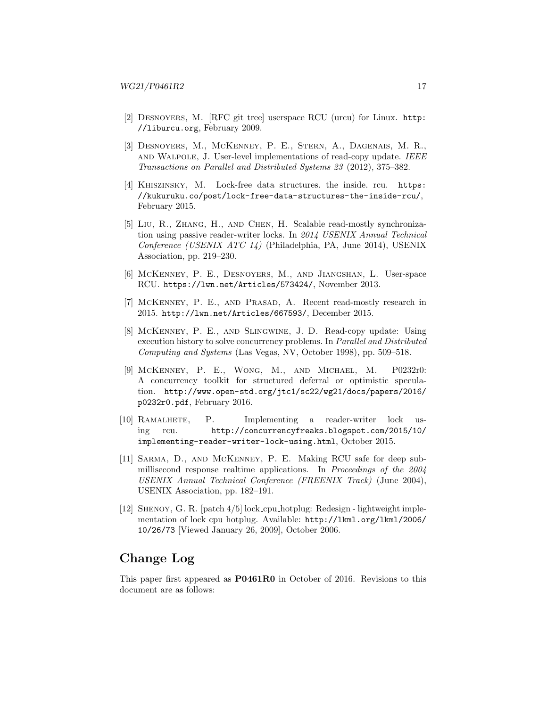- <span id="page-16-3"></span>[2] Desnoyers, M. [RFC git tree] userspace RCU (urcu) for Linux. [http:](http://liburcu.org) [//liburcu.org](http://liburcu.org), February 2009.
- <span id="page-16-6"></span>[3] Desnoyers, M., McKenney, P. E., Stern, A., Dagenais, M. R., and Walpole, J. User-level implementations of read-copy update. IEEE Transactions on Parallel and Distributed Systems 23 (2012), 375–382.
- <span id="page-16-1"></span>[4] Khiszinsky, M. Lock-free data structures. the inside. rcu. [https:](https://kukuruku.co/post/lock-free-data-structures-the-inside-rcu/) [//kukuruku.co/post/lock-free-data-structures-the-inside-rcu/](https://kukuruku.co/post/lock-free-data-structures-the-inside-rcu/), February 2015.
- <span id="page-16-8"></span>[5] Liu, R., Zhang, H., and Chen, H. Scalable read-mostly synchronization using passive reader-writer locks. In 2014 USENIX Annual Technical Conference (USENIX ATC 14) (Philadelphia, PA, June 2014), USENIX Association, pp. 219–230.
- <span id="page-16-4"></span>[6] McKenney, P. E., Desnoyers, M., and Jiangshan, L. User-space RCU. <https://lwn.net/Articles/573424/>, November 2013.
- <span id="page-16-5"></span>[7] McKenney, P. E., and Prasad, A. Recent read-mostly research in 2015. <http://lwn.net/Articles/667593/>, December 2015.
- <span id="page-16-10"></span>[8] McKenney, P. E., and Slingwine, J. D. Read-copy update: Using execution history to solve concurrency problems. In Parallel and Distributed Computing and Systems (Las Vegas, NV, October 1998), pp. 509–518.
- <span id="page-16-0"></span>[9] McKenney, P. E., Wong, M., and Michael, M. P0232r0: A concurrency toolkit for structured deferral or optimistic speculation. [http://www.open-std.org/jtc1/sc22/wg21/docs/papers/2016/](http://www.open-std.org/jtc1/sc22/wg21/docs/papers/2016/p0232r0.pdf) [p0232r0.pdf](http://www.open-std.org/jtc1/sc22/wg21/docs/papers/2016/p0232r0.pdf), February 2016.
- <span id="page-16-9"></span>[10] Ramalhete, P. Implementing a reader-writer lock using rcu. [http://concurrencyfreaks.blogspot.com/2015/10/](http://concurrencyfreaks.blogspot.com/2015/10/implementing-reader-writer-lock-using.html) [implementing-reader-writer-lock-using.html](http://concurrencyfreaks.blogspot.com/2015/10/implementing-reader-writer-lock-using.html), October 2015.
- <span id="page-16-11"></span>[11] Sarma, D., and McKenney, P. E. Making RCU safe for deep submillisecond response realtime applications. In Proceedings of the 2004 USENIX Annual Technical Conference (FREENIX Track) (June 2004), USENIX Association, pp. 182–191.
- <span id="page-16-7"></span>[12] Shenoy, G. R. [patch 4/5] lock cpu hotplug: Redesign - lightweight implementation of lock cpu hotplug. Available: [http://lkml.org/lkml/2006/](http://lkml.org/lkml/2006/10/26/73) [10/26/73](http://lkml.org/lkml/2006/10/26/73) [Viewed January 26, 2009], October 2006.

# <span id="page-16-2"></span>Change Log

This paper first appeared as P0461R0 in October of 2016. Revisions to this document are as follows: